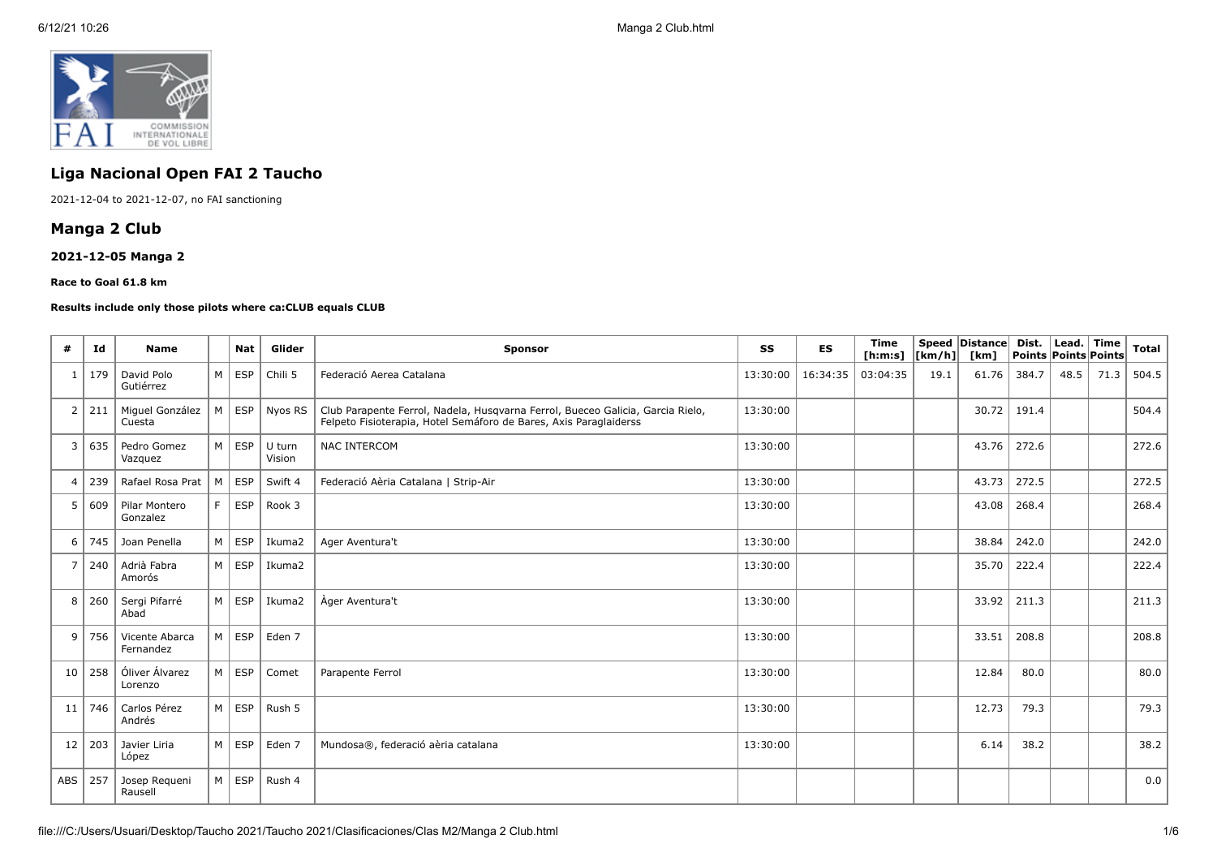

# **Liga Nacional Open FAI 2 Taucho**

2021-12-04 to 2021-12-07, no FAI sanctioning

# **Manga 2 Club**

# **2021-12-05 Manga 2**

#### **Race to Goal 61.8 km**

#### **Results include only those pilots where ca:CLUB equals CLUB**

| #              | Id  | <b>Name</b>                 |                | <b>Nat</b>          | Glider           | SS<br><b>ES</b><br>Sponsor                                                                                                                                      |          |          | <b>Time</b><br>[ h: m: s] | [km/h] | Speed Distance<br>[km] | Dist.<br>Points Points Points | Lead. Time |      | <b>Total</b> |
|----------------|-----|-----------------------------|----------------|---------------------|------------------|-----------------------------------------------------------------------------------------------------------------------------------------------------------------|----------|----------|---------------------------|--------|------------------------|-------------------------------|------------|------|--------------|
| $\mathbf{1}$   | 179 | David Polo<br>Gutiérrez     |                | $M \vert$ ESP       | Chili 5          | Federació Aerea Catalana                                                                                                                                        |          | 16:34:35 | 03:04:35                  | 19.1   | 61.76                  | 384.7                         | 48.5       | 71.3 | 504.5        |
| 2              | 211 | Miguel González<br>Cuesta   | M <sub>1</sub> |                     | ESP   Nyos RS    | Club Parapente Ferrol, Nadela, Husqvarna Ferrol, Bueceo Galicia, Garcia Rielo,<br>13:30:00<br>Felpeto Fisioterapia, Hotel Semáforo de Bares, Axis Paraglaiderss |          |          |                           |        | 30.72                  | 191.4                         |            |      | 504.4        |
| 3              | 635 | Pedro Gomez<br>Vazquez      | M <sub>1</sub> | ESP                 | U turn<br>Vision | <b>NAC INTERCOM</b>                                                                                                                                             | 13:30:00 |          |                           |        | 43.76                  | 272.6                         |            |      | 272.6        |
| $\overline{4}$ | 239 | Rafael Rosa Prat            |                | $M \vert$ ESP       | Swift 4          | Federació Aèria Catalana   Strip-Air                                                                                                                            | 13:30:00 |          |                           |        | 43.73                  | 272.5                         |            |      | 272.5        |
| 5              | 609 | Pilar Montero<br>Gonzalez   | F I            | <b>ESP</b>          | Rook 3           |                                                                                                                                                                 | 13:30:00 |          |                           |        | 43.08                  | 268.4                         |            |      | 268.4        |
| 6              | 745 | Joan Penella                |                | $M \vert ESP$       | Ikuma2           | Ager Aventura't                                                                                                                                                 | 13:30:00 |          |                           |        | 38.84                  | 242.0                         |            |      | 242.0        |
| $\overline{7}$ | 240 | Adrià Fabra<br>Amorós       | M <sub>1</sub> | ESP                 | Ikuma2           |                                                                                                                                                                 | 13:30:00 |          |                           |        | 35.70                  | 222.4                         |            |      | 222.4        |
| 8              | 260 | Sergi Pifarré<br>Abad       |                | $M \vert$ ESP       | Ikuma2           | Àger Aventura't                                                                                                                                                 | 13:30:00 |          |                           |        | 33.92                  | 211.3                         |            |      | 211.3        |
| 9              | 756 | Vicente Abarca<br>Fernandez | M              | ESP                 | Eden 7           |                                                                                                                                                                 | 13:30:00 |          |                           |        | 33.51                  | 208.8                         |            |      | 208.8        |
| 10             | 258 | Óliver Álvarez<br>Lorenzo   |                | M ESP               | Comet            | Parapente Ferrol                                                                                                                                                | 13:30:00 |          |                           |        | 12.84                  | 80.0                          |            |      | 80.0         |
| 11             | 746 | Carlos Pérez<br>Andrés      |                | $M \vert ESP \vert$ | Rush 5           |                                                                                                                                                                 | 13:30:00 |          |                           |        | 12.73                  | 79.3                          |            |      | 79.3         |
| 12             | 203 | Javier Liria<br>López       |                | $M \vert ESP$       | Eden 7           | Mundosa®, federació aèria catalana                                                                                                                              | 13:30:00 |          |                           |        | 6.14                   | 38.2                          |            |      | 38.2         |
| ABS            | 257 | Josep Requeni<br>Rausell    |                | $M \vert ESP \vert$ | Rush 4           |                                                                                                                                                                 |          |          |                           |        |                        |                               |            |      | 0.0          |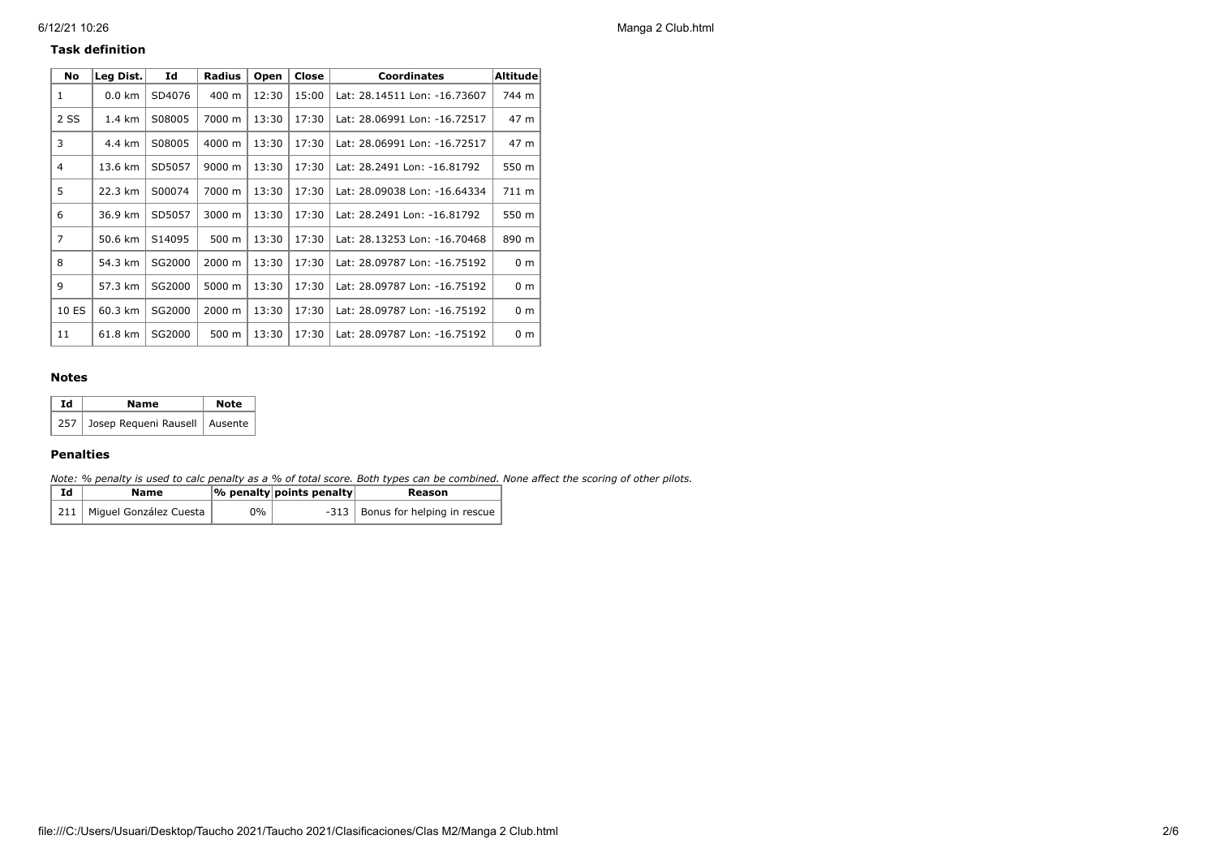#### **Task definition**

| No             | Leg Dist.        | Id     | <b>Radius</b> | Open  | Close | <b>Coordinates</b>           | <b>Altitude</b> |
|----------------|------------------|--------|---------------|-------|-------|------------------------------|-----------------|
| 1              | $0.0 \text{ km}$ | SD4076 | 400 m         | 12:30 | 15:00 | Lat: 28.14511 Lon: -16.73607 | 744 m           |
| 2 SS           | 1.4 km           | S08005 | 7000 m        | 13:30 | 17:30 | Lat: 28.06991 Lon: -16.72517 | 47 m            |
| 3              | 4.4 km           | S08005 | 4000 m        | 13:30 | 17:30 | Lat: 28.06991 Lon: -16.72517 | 47 m            |
| $\overline{4}$ | 13.6 km          | SD5057 | 9000 m        | 13:30 | 17:30 | Lat: 28.2491 Lon: -16.81792  | 550 m           |
| 5              | 22.3 km          | S00074 | 7000 m        | 13:30 | 17:30 | Lat: 28.09038 Lon: -16.64334 | 711 m           |
| 6              | 36.9 km          | SD5057 | 3000 m        | 13:30 | 17:30 | Lat: 28.2491 Lon: -16.81792  | 550 m           |
| $\overline{7}$ | 50.6 km          | S14095 | 500 m         | 13:30 | 17:30 | Lat: 28.13253 Lon: -16.70468 | 890 m           |
| 8              | 54.3 km          | SG2000 | 2000 m        | 13:30 | 17:30 | Lat: 28.09787 Lon: -16.75192 | 0 <sub>m</sub>  |
| q              | 57.3 km          | SG2000 | 5000 m        | 13:30 | 17:30 | Lat: 28.09787 Lon: -16.75192 | 0 <sub>m</sub>  |
| 10 ES          | 60.3 km          | SG2000 | 2000 m        | 13:30 | 17:30 | Lat: 28.09787 Lon: -16.75192 | 0 <sub>m</sub>  |
| 11             | 61.8 km          | SG2000 | 500 m         | 13:30 | 17:30 | Lat: 28.09787 Lon: -16.75192 | 0 <sub>m</sub>  |

#### **Notes**

| Ιd | Name                                | <b>Note</b> |  |  |
|----|-------------------------------------|-------------|--|--|
|    | 257 Josep Requeni Rausell   Ausente |             |  |  |

### **Penalties**

*Note: % penalty is used to calc penalty as a % of total score. Both types can be combined. None affect the scoring of other pilots.*

| Ιd | Name                         |    | % penalty points penalty | Reason                             |
|----|------------------------------|----|--------------------------|------------------------------------|
|    | 211   Miguel González Cuesta | 0% |                          | -313   Bonus for helping in rescue |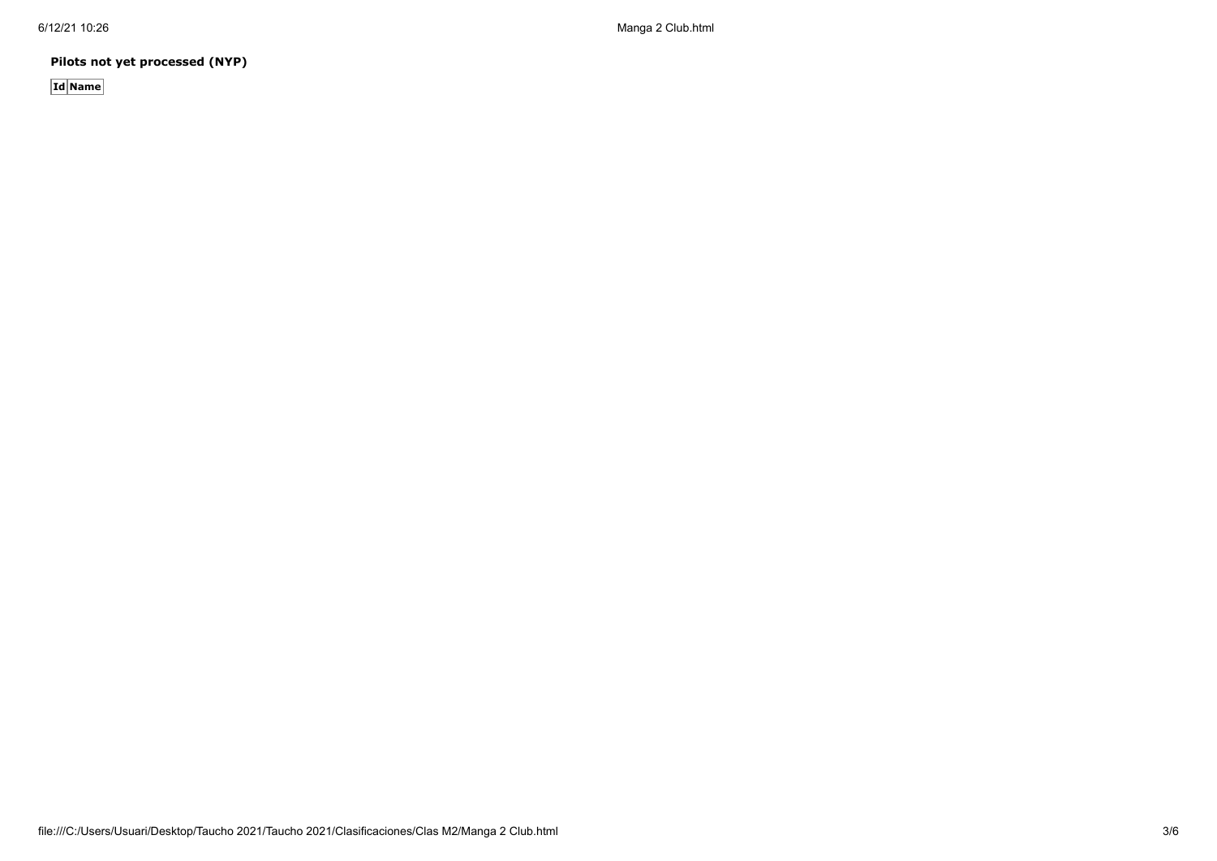6/12/21 10:26 Manga 2 Club.html

**Pilots not yet processed (NYP)**

**Id Name**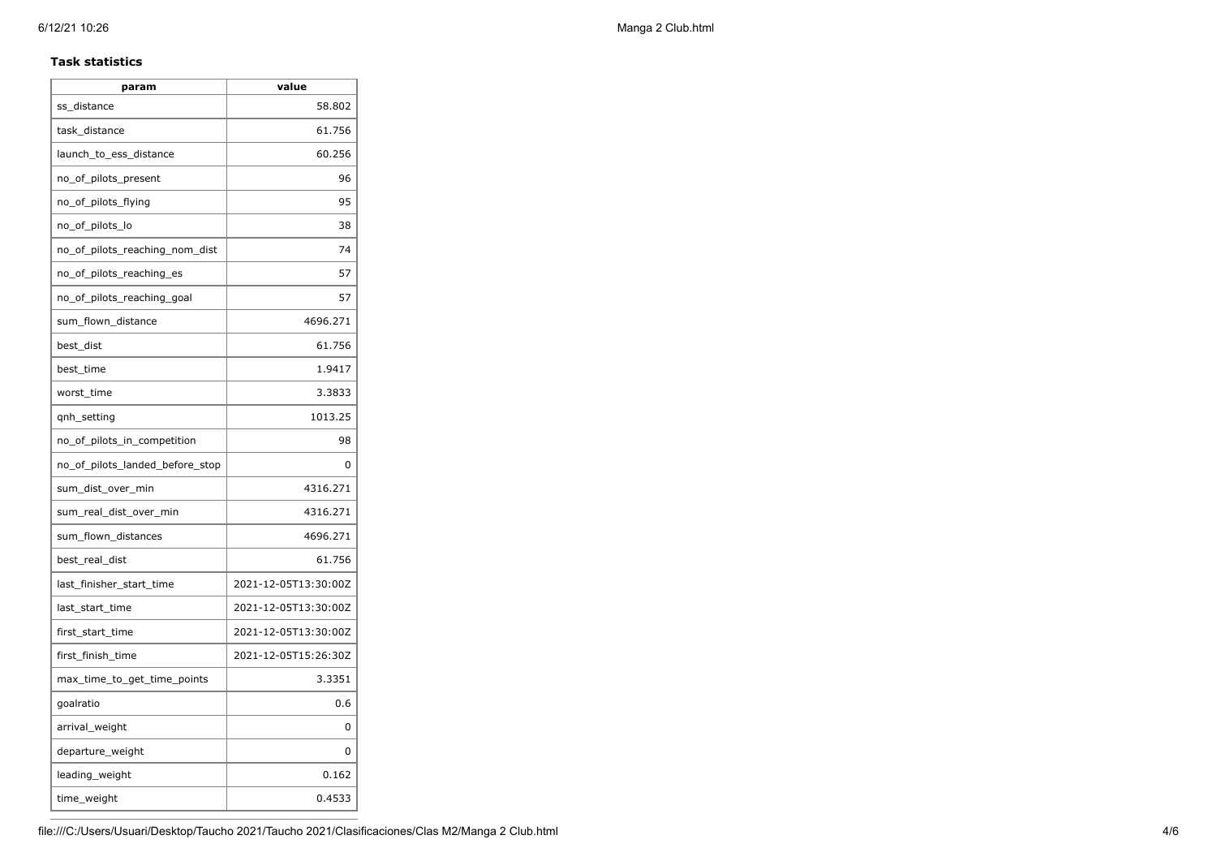#### **Task statistics**

| param                           | value                |
|---------------------------------|----------------------|
| ss distance                     | 58.802               |
| task_distance                   | 61.756               |
| launch to ess distance          | 60.256               |
| no_of_pilots_present            | 96                   |
| no_of_pilots_flying             | 95                   |
| no_of_pilots_lo                 | 38                   |
| no of pilots reaching nom dist  | 74                   |
| no_of_pilots_reaching_es        | 57                   |
| no_of_pilots_reaching_goal      | 57                   |
| sum_flown_distance              | 4696.271             |
| best_dist                       | 61.756               |
| best_time                       | 1.9417               |
| worst_time                      | 3.3833               |
| qnh_setting                     | 1013.25              |
| no_of_pilots_in_competition     | 98                   |
| no_of_pilots_landed_before_stop | 0                    |
| sum_dist_over_min               | 4316.271             |
| sum_real_dist_over_min          | 4316.271             |
| sum_flown_distances             | 4696.271             |
| best_real_dist                  | 61.756               |
| last_finisher_start_time        | 2021-12-05T13:30:00Z |
| last start time                 | 2021-12-05T13:30:00Z |
| first_start_time                | 2021-12-05T13:30:00Z |
| first_finish_time               | 2021-12-05T15:26:30Z |
| max_time_to_get_time_points     | 3.3351               |
| goalratio                       | 0.6                  |
| arrival_weight                  | 0                    |
| departure_weight                | 0                    |
| leading_weight                  | 0.162                |
| time_weight                     | 0.4533               |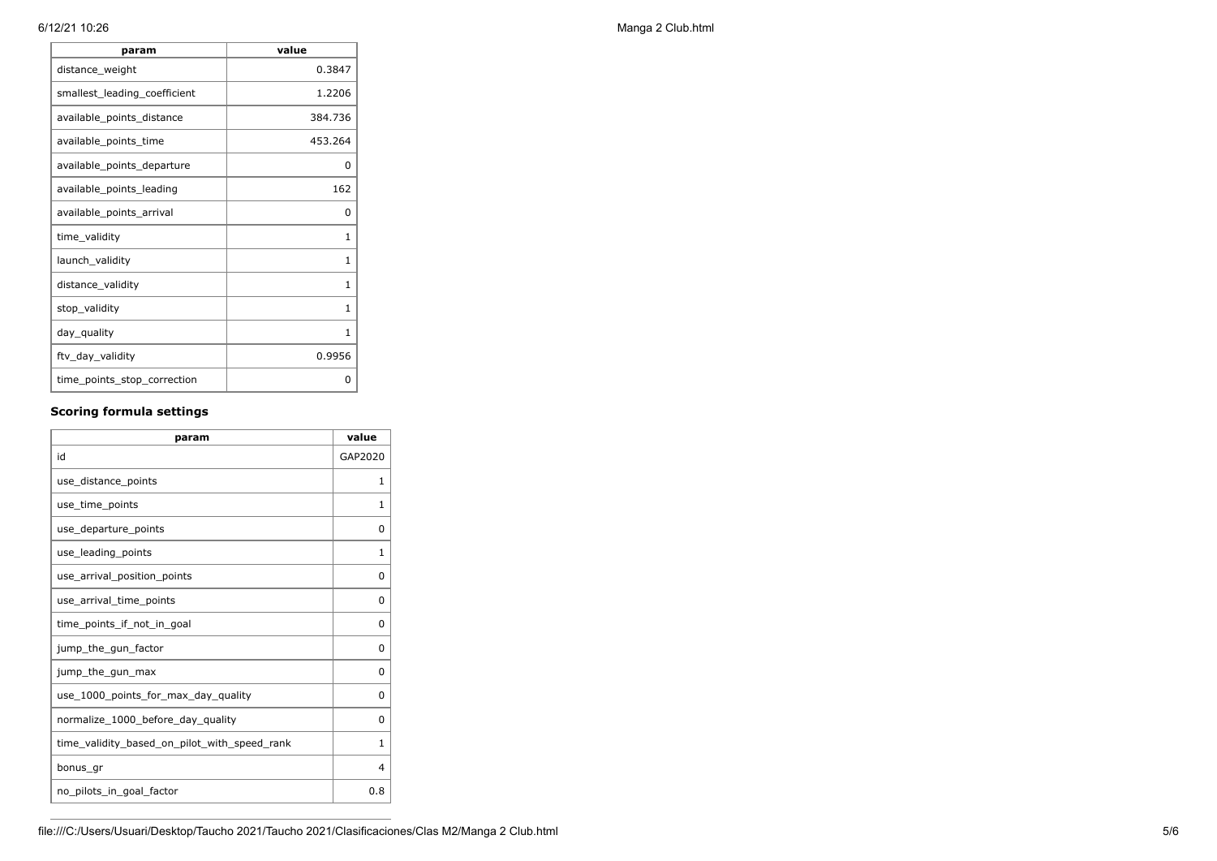| param                        | value   |
|------------------------------|---------|
| distance_weight              | 0.3847  |
| smallest_leading_coefficient | 1.2206  |
| available_points_distance    | 384.736 |
| available_points_time        | 453.264 |
| available_points_departure   | 0       |
| available points leading     | 162     |
| available_points_arrival     | 0       |
| time_validity                | 1       |
| launch_validity              | 1       |
| distance_validity            | 1       |
| stop_validity                | 1       |
| day_quality                  | 1       |
| ftv_day_validity             | 0.9956  |
| time_points_stop_correction  | 0       |

# **Scoring formula settings**

| param                                        | value    |
|----------------------------------------------|----------|
| id                                           | GAP2020  |
| use_distance_points                          | 1        |
| use time points                              | 1        |
| use_departure_points                         | 0        |
| use_leading_points                           | 1        |
| use arrival position points                  | 0        |
| use_arrival_time_points                      | 0        |
| time points if not in goal                   | 0        |
| jump_the_gun_factor                          | $\Omega$ |
| jump_the_gun_max                             | 0        |
| use_1000_points_for_max_day_quality          | $\Omega$ |
| normalize_1000_before_day_quality            | 0        |
| time_validity_based_on_pilot_with_speed_rank | 1        |
| bonus gr                                     | 4        |
| no_pilots_in_goal_factor                     | 0.8      |